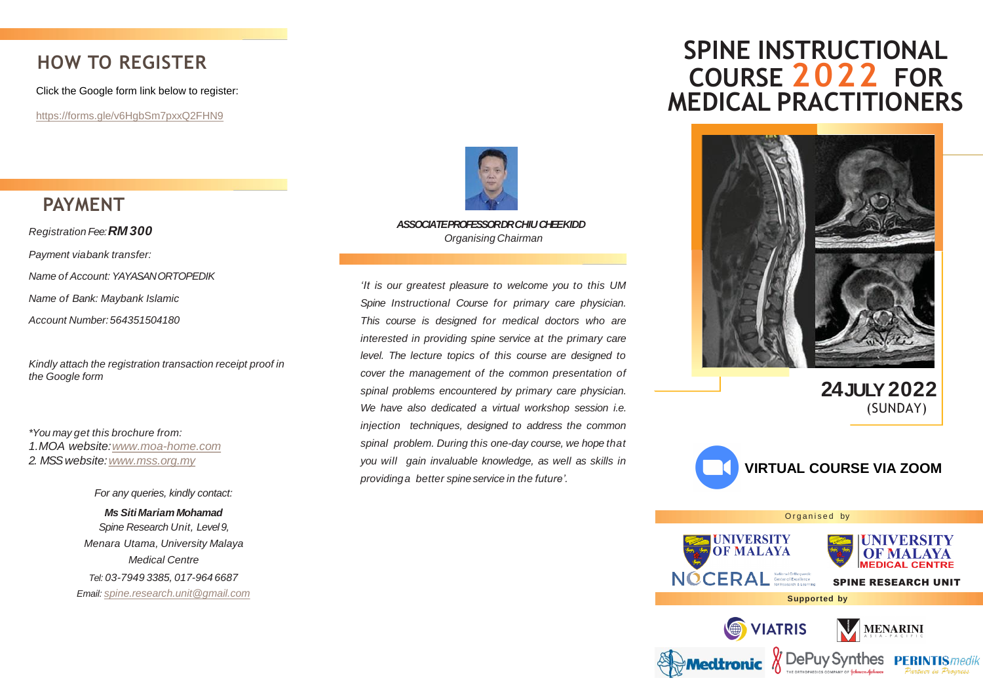# **HOW TO REGISTER**

Click the Google form link below to register:

<https://forms.gle/v6HgbSm7pxxQ2FHN9>

## **PAYMENT**

*Registration Fee:RM 300 Payment viabank transfer: Name of Account: YAYASAN ORTOPEDIK Name of Bank: Maybank Islamic Account Number:564351504180*

*Kindly attach the registration transaction receipt proof in the Google form*

*\*You may get this brochure from: 1.MOA website:[www.moa-home.com](http://www.moa-home.com/) 2. MSS website:[www.mss.org.my](http://www.mss.org.my/)*

> *For any queries, kindly contact: Ms SitiMariam Mohamad Spine Research Unit, Level 9, Menara Utama, University Malaya Medical Centre Tel: 03-7949 3385, 017-964 6687 Email: [spine.research.unit@gmail.com](mailto:spine.research.unit@gmail.com)*



*ASSOCIATE PROFESSOR DR CHIU CHEEKIDD Organising Chairman*

*'It is our greatest pleasure to welcome you to this UM Spine Instructional Course for primary care physician. This course is designed for medical doctors who are interested in providing spine service at the primary care level. The lecture topics of this course are designed to cover the management of the common presentation of spinal problems encountered by primary care physician. We have also dedicated a virtual workshop session i.e. injection techniques, designed to address the common spinal problem. During this one-day course, we hope that you will gain invaluable knowledge, as well as skills in providinga better spineservice in the future'.*

# **SPINE INSTRUCTIONAL COURSE 2022 FOR MEDICAL PRACTITIONERS**



**24JULY2022** (SUNDAY)

SPINE RESEARCH UNIT

MENARINI



Organised by

**UNIVERSITY OF MALAYA** 

VIATRIS

NOCERAL National Orthopaedic

**Supported by**

Medtronic & DePuy Synthes PERINTIS/medit